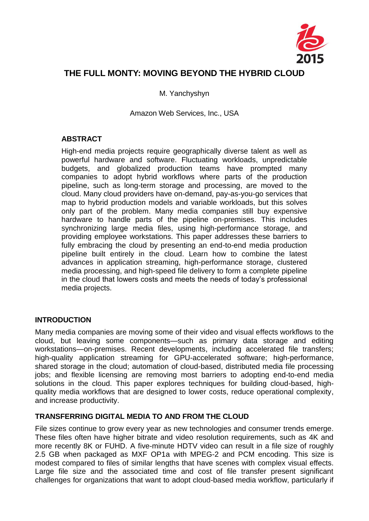

# **THE FULL MONTY: MOVING BEYOND THE HYBRID CLOUD**

M. Yanchyshyn

Amazon Web Services, Inc., USA

### **ABSTRACT**

High-end media projects require geographically diverse talent as well as powerful hardware and software. Fluctuating workloads, unpredictable budgets, and globalized production teams have prompted many companies to adopt hybrid workflows where parts of the production pipeline, such as long-term storage and processing, are moved to the cloud. Many cloud providers have on-demand, pay-as-you-go services that map to hybrid production models and variable workloads, but this solves only part of the problem. Many media companies still buy expensive hardware to handle parts of the pipeline on-premises. This includes synchronizing large media files, using high-performance storage, and providing employee workstations. This paper addresses these barriers to fully embracing the cloud by presenting an end-to-end media production pipeline built entirely in the cloud. Learn how to combine the latest advances in application streaming, high-performance storage, clustered media processing, and high-speed file delivery to form a complete pipeline in the cloud that lowers costs and meets the needs of today's professional media projects.

### **INTRODUCTION**

Many media companies are moving some of their video and visual effects workflows to the cloud, but leaving some components—such as primary data storage and editing workstations—on-premises. Recent developments, including accelerated file transfers; high-quality application streaming for GPU-accelerated software; high-performance, shared storage in the cloud; automation of cloud-based, distributed media file processing jobs; and flexible licensing are removing most barriers to adopting end-to-end media solutions in the cloud. This paper explores techniques for building cloud-based, highquality media workflows that are designed to lower costs, reduce operational complexity, and increase productivity.

### **TRANSFERRING DIGITAL MEDIA TO AND FROM THE CLOUD**

File sizes continue to grow every year as new technologies and consumer trends emerge. These files often have higher bitrate and video resolution requirements, such as 4K and more recently 8K or FUHD. A five-minute HDTV video can result in a file size of roughly 2.5 GB when packaged as MXF OP1a with MPEG-2 and PCM encoding. This size is modest compared to files of similar lengths that have scenes with complex visual effects. Large file size and the associated time and cost of file transfer present significant challenges for organizations that want to adopt cloud-based media workflow, particularly if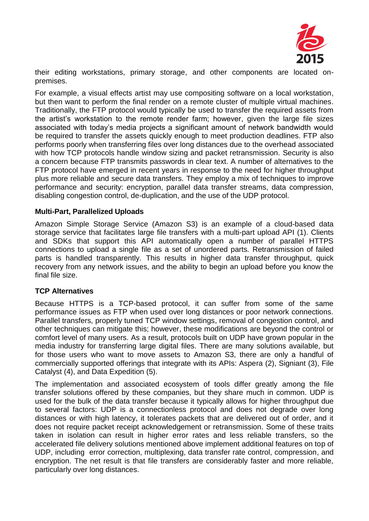

their editing workstations, primary storage, and other components are located onpremises.

For example, a visual effects artist may use compositing software on a local workstation, but then want to perform the final render on a remote cluster of multiple virtual machines. Traditionally, the FTP protocol would typically be used to transfer the required assets from the artist's workstation to the remote render farm; however, given the large file sizes associated with today's media projects a significant amount of network bandwidth would be required to transfer the assets quickly enough to meet production deadlines. FTP also performs poorly when transferring files over long distances due to the overhead associated with how TCP protocols handle window sizing and packet retransmission. Security is also a concern because FTP transmits passwords in clear text. A number of alternatives to the FTP protocol have emerged in recent years in response to the need for higher throughput plus more reliable and secure data transfers. They employ a mix of techniques to improve performance and security: encryption, parallel data transfer streams, data compression, disabling congestion control, de-duplication, and the use of the UDP protocol.

#### **Multi-Part, Parallelized Uploads**

Amazon Simple Storage Service (Amazon S3) is an example of a cloud-based data storage service that facilitates large file transfers with a multi-part upload API (1). Clients and SDKs that support this API automatically open a number of parallel HTTPS connections to upload a single file as a set of unordered parts. Retransmission of failed parts is handled transparently. This results in higher data transfer throughput, quick recovery from any network issues, and the ability to begin an upload before you know the final file size.

### **TCP Alternatives**

Because HTTPS is a TCP-based protocol, it can suffer from some of the same performance issues as FTP when used over long distances or poor network connections. Parallel transfers, properly tuned TCP window settings, removal of congestion control, and other techniques can mitigate this; however, these modifications are beyond the control or comfort level of many users. As a result, protocols built on UDP have grown popular in the media industry for transferring large digital files. There are many solutions available, but for those users who want to move assets to Amazon S3, there are only a handful of commercially supported offerings that integrate with its APIs: Aspera (2), Signiant (3), File Catalyst (4), and Data Expedition (5).

The implementation and associated ecosystem of tools differ greatly among the file transfer solutions offered by these companies, but they share much in common. UDP is used for the bulk of the data transfer because it typically allows for higher throughput due to several factors: UDP is a connectionless protocol and does not degrade over long distances or with high latency, it tolerates packets that are delivered out of order, and it does not require packet receipt acknowledgement or retransmission. Some of these traits taken in isolation can result in higher error rates and less reliable transfers, so the accelerated file delivery solutions mentioned above implement additional features on top of UDP, including error correction, multiplexing, data transfer rate control, compression, and encryption. The net result is that file transfers are considerably faster and more reliable, particularly over long distances.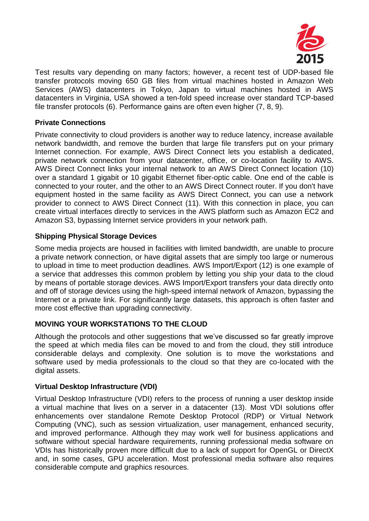

Test results vary depending on many factors; however, a recent test of UDP-based file transfer protocols moving 650 GB files from virtual machines hosted in Amazon Web Services (AWS) datacenters in Tokyo, Japan to virtual machines hosted in AWS datacenters in Virginia, USA showed a ten-fold speed increase over standard TCP-based file transfer protocols (6). Performance gains are often even higher (7, 8, 9).

### **Private Connections**

Private connectivity to cloud providers is another way to reduce latency, increase available network bandwidth, and remove the burden that large file transfers put on your primary Internet connection. For example, AWS Direct Connect lets you establish a dedicated, private network connection from your datacenter, office, or co-location facility to AWS. AWS Direct Connect links your internal network to an AWS Direct Connect location (10) over a standard 1 gigabit or 10 gigabit Ethernet fiber-optic cable. One end of the cable is connected to your router, and the other to an AWS Direct Connect router. If you don't have equipment hosted in the same facility as AWS Direct Connect, you can use a network provider to connect to AWS Direct Connect (11). With this connection in place, you can create virtual interfaces directly to services in the AWS platform such as Amazon EC2 and Amazon S3, bypassing Internet service providers in your network path.

### **Shipping Physical Storage Devices**

Some media projects are housed in facilities with limited bandwidth, are unable to procure a private network connection, or have digital assets that are simply too large or numerous to upload in time to meet production deadlines. AWS Import/Export (12) is one example of a service that addresses this common problem by letting you ship your data to the cloud by means of portable storage devices. AWS Import/Export transfers your data directly onto and off of storage devices using the high-speed internal network of Amazon, bypassing the Internet or a private link. For significantly large datasets, this approach is often faster and more cost effective than upgrading connectivity.

# **MOVING YOUR WORKSTATIONS TO THE CLOUD**

Although the protocols and other suggestions that we've discussed so far greatly improve the speed at which media files can be moved to and from the cloud, they still introduce considerable delays and complexity. One solution is to move the workstations and software used by media professionals to the cloud so that they are co-located with the digital assets.

### **Virtual Desktop Infrastructure (VDI)**

Virtual Desktop Infrastructure (VDI) refers to the process of running a user desktop inside a virtual machine that lives on a server in a datacenter (13). Most VDI solutions offer enhancements over standalone Remote Desktop Protocol (RDP) or Virtual Network Computing (VNC), such as session virtualization, user management, enhanced security, and improved performance. Although they may work well for business applications and software without special hardware requirements, running professional media software on VDIs has historically proven more difficult due to a lack of support for OpenGL or DirectX and, in some cases, GPU acceleration. Most professional media software also requires considerable compute and graphics resources.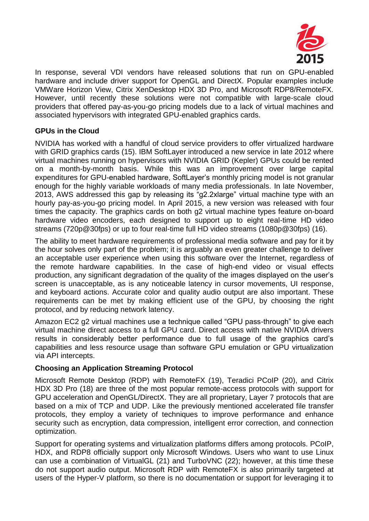

In response, several VDI vendors have released solutions that run on GPU-enabled hardware and include driver support for OpenGL and DirectX. Popular examples include VMWare Horizon View, Citrix XenDesktop HDX 3D Pro, and Microsoft RDP8/RemoteFX. However, until recently these solutions were not compatible with large-scale cloud providers that offered pay-as-you-go pricing models due to a lack of virtual machines and associated hypervisors with integrated GPU-enabled graphics cards.

# **GPUs in the Cloud**

NVIDIA has worked with a handful of cloud service providers to offer virtualized hardware with GRID graphics cards (15). IBM SoftLayer introduced a new service in late 2012 where virtual machines running on hypervisors with NVIDIA GRID (Kepler) GPUs could be rented on a month-by-month basis. While this was an improvement over large capital expenditures for GPU-enabled hardware, SoftLayer's monthly pricing model is not granular enough for the highly variable workloads of many media professionals. In late November, 2013, AWS addressed this gap by releasing its "g2.2xlarge" virtual machine type with an hourly pay-as-you-go pricing model. In April 2015, a new version was released with four times the capacity. The graphics cards on both g2 virtual machine types feature on-board hardware video encoders, each designed to support up to eight real-time HD video streams (720p@30fps) or up to four real-time full HD video streams (1080p@30fps) (16).

The ability to meet hardware requirements of professional media software and pay for it by the hour solves only part of the problem; it is arguably an even greater challenge to deliver an acceptable user experience when using this software over the Internet, regardless of the remote hardware capabilities. In the case of high-end video or visual effects production, any significant degradation of the quality of the images displayed on the user's screen is unacceptable, as is any noticeable latency in cursor movements, UI response, and keyboard actions. Accurate color and quality audio output are also important. These requirements can be met by making efficient use of the GPU, by choosing the right protocol, and by reducing network latency.

Amazon EC2 g2 virtual machines use a technique called "GPU pass-through" to give each virtual machine direct access to a full GPU card. Direct access with native NVIDIA drivers results in considerably better performance due to full usage of the graphics card's capabilities and less resource usage than software GPU emulation or GPU virtualization via API intercepts.

# **Choosing an Application Streaming Protocol**

Microsoft Remote Desktop (RDP) with RemoteFX (19), Teradici PCoIP (20), and Citrix HDX 3D Pro (18) are three of the most popular remote-access protocols with support for GPU acceleration and OpenGL/DirectX. They are all proprietary, Layer 7 protocols that are based on a mix of TCP and UDP. Like the previously mentioned accelerated file transfer protocols, they employ a variety of techniques to improve performance and enhance security such as encryption, data compression, intelligent error correction, and connection optimization.

Support for operating systems and virtualization platforms differs among protocols. PCoIP, HDX, and RDP8 officially support only Microsoft Windows. Users who want to use Linux can use a combination of VirtualGL (21) and TurboVNC (22); however, at this time these do not support audio output. Microsoft RDP with RemoteFX is also primarily targeted at users of the Hyper-V platform, so there is no documentation or support for leveraging it to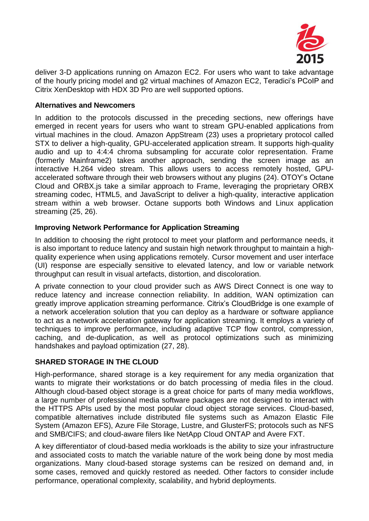

deliver 3-D applications running on Amazon EC2. For users who want to take advantage of the hourly pricing model and g2 virtual machines of Amazon EC2, Teradici's PCoIP and Citrix XenDesktop with HDX 3D Pro are well supported options.

### **Alternatives and Newcomers**

In addition to the protocols discussed in the preceding sections, new offerings have emerged in recent years for users who want to stream GPU-enabled applications from virtual machines in the cloud. Amazon AppStream (23) uses a proprietary protocol called STX to deliver a high-quality, GPU-accelerated application stream. It supports high-quality audio and up to 4:4:4 chroma subsampling for accurate color representation. Frame (formerly Mainframe2) takes another approach, sending the screen image as an interactive H.264 video stream. This allows users to access remotely hosted, GPUaccelerated software through their web browsers without any plugins (24). OTOY's Octane Cloud and ORBX.js take a similar approach to Frame, leveraging the proprietary ORBX streaming codec, HTML5, and JavaScript to deliver a high-quality, interactive application stream within a web browser. Octane supports both Windows and Linux application streaming (25, 26).

### **Improving Network Performance for Application Streaming**

In addition to choosing the right protocol to meet your platform and performance needs, it is also important to reduce latency and sustain high network throughput to maintain a highquality experience when using applications remotely. Cursor movement and user interface (UI) response are especially sensitive to elevated latency, and low or variable network throughput can result in visual artefacts, distortion, and discoloration.

A private connection to your cloud provider such as AWS Direct Connect is one way to reduce latency and increase connection reliability. In addition, WAN optimization can greatly improve application streaming performance. Citrix's CloudBridge is one example of a network acceleration solution that you can deploy as a hardware or software appliance to act as a network acceleration gateway for application streaming. It employs a variety of techniques to improve performance, including adaptive TCP flow control, compression, caching, and de-duplication, as well as protocol optimizations such as minimizing handshakes and payload optimization (27, 28).

# **SHARED STORAGE IN THE CLOUD**

High-performance, shared storage is a key requirement for any media organization that wants to migrate their workstations or do batch processing of media files in the cloud. Although cloud-based object storage is a great choice for parts of many media workflows, a large number of professional media software packages are not designed to interact with the HTTPS APIs used by the most popular cloud object storage services. Cloud-based, compatible alternatives include distributed file systems such as Amazon Elastic File System (Amazon EFS), Azure File Storage, Lustre, and GlusterFS; protocols such as NFS and SMB/CIFS; and cloud-aware filers like NetApp Cloud ONTAP and Avere FXT.

A key differentiator of cloud-based media workloads is the ability to size your infrastructure and associated costs to match the variable nature of the work being done by most media organizations. Many cloud-based storage systems can be resized on demand and, in some cases, removed and quickly restored as needed. Other factors to consider include performance, operational complexity, scalability, and hybrid deployments.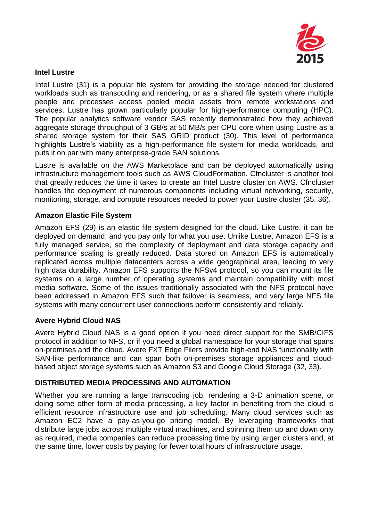

### **Intel Lustre**

Intel Lustre (31) is a popular file system for providing the storage needed for clustered workloads such as transcoding and rendering, or as a shared file system where multiple people and processes access pooled media assets from remote workstations and services. Lustre has grown particularly popular for high-performance computing (HPC). The popular analytics software vendor SAS recently demonstrated how they achieved aggregate storage throughput of 3 GB/s at 50 MB/s per CPU core when using Lustre as a shared storage system for their SAS GRID product (30). This level of performance highlights Lustre's viability as a high-performance file system for media workloads, and puts it on par with many enterprise-grade SAN solutions.

Lustre is available on the AWS Marketplace and can be deployed automatically using infrastructure management tools such as AWS CloudFormation. Cfncluster is another tool that greatly reduces the time it takes to create an Intel Lustre cluster on AWS. Cfncluster handles the deployment of numerous components including virtual networking, security, monitoring, storage, and compute resources needed to power your Lustre cluster (35, 36).

### **Amazon Elastic File System**

Amazon EFS (29) is an elastic file system designed for the cloud. Like Lustre, it can be deployed on demand, and you pay only for what you use. Unlike Lustre, Amazon EFS is a fully managed service, so the complexity of deployment and data storage capacity and performance scaling is greatly reduced. Data stored on Amazon EFS is automatically replicated across multiple datacenters across a wide geographical area, leading to very high data durability. Amazon EFS supports the NFSv4 protocol, so you can mount its file systems on a large number of operating systems and maintain compatibility with most media software. Some of the issues traditionally associated with the NFS protocol have been addressed in Amazon EFS such that failover is seamless, and very large NFS file systems with many concurrent user connections perform consistently and reliably.

### **Avere Hybrid Cloud NAS**

Avere Hybrid Cloud NAS is a good option if you need direct support for the SMB/CIFS protocol in addition to NFS, or if you need a global namespace for your storage that spans on-premises and the cloud. Avere FXT Edge Filers provide high-end NAS functionality with SAN-like performance and can span both on-premises storage appliances and cloudbased object storage systems such as Amazon S3 and Google Cloud Storage (32, 33).

### **DISTRIBUTED MEDIA PROCESSING AND AUTOMATION**

Whether you are running a large transcoding job, rendering a 3-D animation scene, or doing some other form of media processing, a key factor in benefiting from the cloud is efficient resource infrastructure use and job scheduling. Many cloud services such as Amazon EC2 have a pay-as-you-go pricing model. By leveraging frameworks that distribute large jobs across multiple virtual machines, and spinning them up and down only as required, media companies can reduce processing time by using larger clusters and, at the same time, lower costs by paying for fewer total hours of infrastructure usage.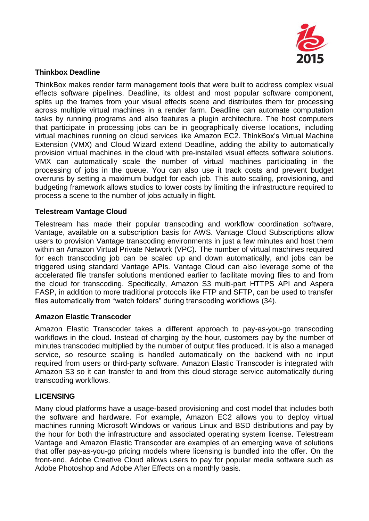

# **Thinkbox Deadline**

ThinkBox makes render farm management tools that were built to address complex visual effects software pipelines. Deadline, its oldest and most popular software component, splits up the frames from your visual effects scene and distributes them for processing across multiple virtual machines in a render farm. Deadline can automate computation tasks by running programs and also features a plugin architecture. The host computers that participate in processing jobs can be in geographically diverse locations, including virtual machines running on cloud services like Amazon EC2. ThinkBox's Virtual Machine Extension (VMX) and Cloud Wizard extend Deadline, adding the ability to automatically provision virtual machines in the cloud with pre-installed visual effects software solutions. VMX can automatically scale the number of virtual machines participating in the processing of jobs in the queue. You can also use it track costs and prevent budget overruns by setting a maximum budget for each job. This auto scaling, provisioning, and budgeting framework allows studios to lower costs by limiting the infrastructure required to process a scene to the number of jobs actually in flight.

### **Telestream Vantage Cloud**

Telestream has made their popular transcoding and workflow coordination software, Vantage, available on a subscription basis for AWS. Vantage Cloud Subscriptions allow users to provision Vantage transcoding environments in just a few minutes and host them within an Amazon Virtual Private Network (VPC). The number of virtual machines required for each transcoding job can be scaled up and down automatically, and jobs can be triggered using standard Vantage APIs. Vantage Cloud can also leverage some of the accelerated file transfer solutions mentioned earlier to facilitate moving files to and from the cloud for transcoding. Specifically, Amazon S3 multi-part HTTPS API and Aspera FASP, in addition to more traditional protocols like FTP and SFTP, can be used to transfer files automatically from "watch folders" during transcoding workflows (34).

# **Amazon Elastic Transcoder**

Amazon Elastic Transcoder takes a different approach to pay-as-you-go transcoding workflows in the cloud. Instead of charging by the hour, customers pay by the number of minutes transcoded multiplied by the number of output files produced. It is also a managed service, so resource scaling is handled automatically on the backend with no input required from users or third-party software. Amazon Elastic Transcoder is integrated with Amazon S3 so it can transfer to and from this cloud storage service automatically during transcoding workflows.

# **LICENSING**

Many cloud platforms have a usage-based provisioning and cost model that includes both the software and hardware. For example, Amazon EC2 allows you to deploy virtual machines running Microsoft Windows or various Linux and BSD distributions and pay by the hour for both the infrastructure and associated operating system license. Telestream Vantage and Amazon Elastic Transcoder are examples of an emerging wave of solutions that offer pay-as-you-go pricing models where licensing is bundled into the offer. On the front-end, Adobe Creative Cloud allows users to pay for popular media software such as Adobe Photoshop and Adobe After Effects on a monthly basis.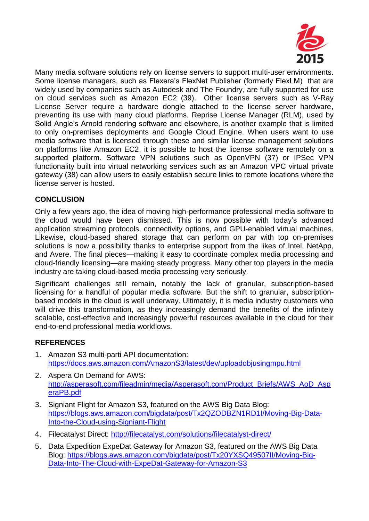

Many media software solutions rely on license servers to support multi-user environments. Some license managers, such as Flexera's FlexNet Publisher (formerly FlexLM) that are widely used by companies such as Autodesk and The Foundry, are fully supported for use on cloud services such as Amazon EC2 (39). Other license servers such as V-Ray License Server require a hardware dongle attached to the license server hardware, preventing its use with many cloud platforms. Reprise License Manager (RLM), used by Solid Angle's Arnold rendering software and elsewhere, is another example that is limited to only on-premises deployments and Google Cloud Engine. When users want to use media software that is licensed through these and similar license management solutions on platforms like Amazon EC2, it is possible to host the license software remotely on a supported platform. Software VPN solutions such as OpenVPN (37) or IPSec VPN functionality built into virtual networking services such as an Amazon VPC virtual private gateway (38) can allow users to easily establish secure links to remote locations where the license server is hosted.

# **CONCLUSION**

Only a few years ago, the idea of moving high-performance professional media software to the cloud would have been dismissed. This is now possible with today's advanced application streaming protocols, connectivity options, and GPU-enabled virtual machines. Likewise, cloud-based shared storage that can perform on par with top on-premises solutions is now a possibility thanks to enterprise support from the likes of Intel, NetApp, and Avere. The final pieces—making it easy to coordinate complex media processing and cloud-friendly licensing—are making steady progress. Many other top players in the media industry are taking cloud-based media processing very seriously.

Significant challenges still remain, notably the lack of granular, subscription-based licensing for a handful of popular media software. But the shift to granular, subscriptionbased models in the cloud is well underway. Ultimately, it is media industry customers who will drive this transformation, as they increasingly demand the benefits of the infinitely scalable, cost-effective and increasingly powerful resources available in the cloud for their end-to-end professional media workflows.

# **REFERENCES**

- 1. Amazon S3 multi-parti API documentation: <https://docs.aws.amazon.com/AmazonS3/latest/dev/uploadobjusingmpu.html>
- 2. Aspera On Demand for AWS: [http://asperasoft.com/fileadmin/media/Asperasoft.com/Product\\_Briefs/AWS\\_AoD\\_Asp](http://asperasoft.com/fileadmin/media/Asperasoft.com/Product_Briefs/AWS_AoD_AsperaPB.pdf) [eraPB.pdf](http://asperasoft.com/fileadmin/media/Asperasoft.com/Product_Briefs/AWS_AoD_AsperaPB.pdf)
- 3. Signiant Flight for Amazon S3, featured on the AWS Big Data Blog: [https://blogs.aws.amazon.com/bigdata/post/Tx2QZODBZN1RD1I/Moving-Big-Data-](https://blogs.aws.amazon.com/bigdata/post/Tx2QZODBZN1RD1I/Moving-Big-Data-Into-the-Cloud-using-Signiant-Flight)[Into-the-Cloud-using-Signiant-Flight](https://blogs.aws.amazon.com/bigdata/post/Tx2QZODBZN1RD1I/Moving-Big-Data-Into-the-Cloud-using-Signiant-Flight)
- 4. Filecatalyst Direct:<http://filecatalyst.com/solutions/filecatalyst-direct/>
- 5. Data Expedition ExpeDat Gateway for Amazon S3, featured on the AWS Big Data Blog: [https://blogs.aws.amazon.com/bigdata/post/Tx20YXSQ49507II/Moving-Big-](https://blogs.aws.amazon.com/bigdata/post/Tx20YXSQ49507II/Moving-Big-Data-Into-The-Cloud-with-ExpeDat-Gateway-for-Amazon-S3)[Data-Into-The-Cloud-with-ExpeDat-Gateway-for-Amazon-S3](https://blogs.aws.amazon.com/bigdata/post/Tx20YXSQ49507II/Moving-Big-Data-Into-The-Cloud-with-ExpeDat-Gateway-for-Amazon-S3)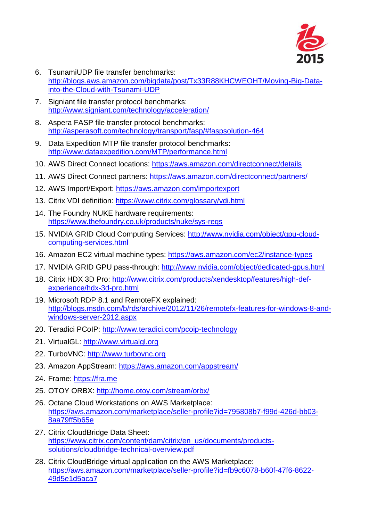

- 6. TsunamiUDP file transfer benchmarks: [http://blogs.aws.amazon.com/bigdata/post/Tx33R88KHCWEOHT/Moving-Big-Data](http://blogs.aws.amazon.com/bigdata/post/Tx33R88KHCWEOHT/Moving-Big-Data-into-the-Cloud-with-Tsunami-UDP)[into-the-Cloud-with-Tsunami-UDP](http://blogs.aws.amazon.com/bigdata/post/Tx33R88KHCWEOHT/Moving-Big-Data-into-the-Cloud-with-Tsunami-UDP)
- 7. Signiant file transfer protocol benchmarks: <http://www.signiant.com/technology/acceleration/>
- 8. Aspera FASP file transfer protocol benchmarks: <http://asperasoft.com/technology/transport/fasp/#faspsolution-464>
- 9. Data Expedition MTP file transfer protocol benchmarks: <http://www.dataexpedition.com/MTP/performance.html>
- 10. AWS Direct Connect locations:<https://aws.amazon.com/directconnect/details>
- 11. AWS Direct Connect partners:<https://aws.amazon.com/directconnect/partners/>
- 12. AWS Import/Export:<https://aws.amazon.com/importexport>
- 13. Citrix VDI definition:<https://www.citrix.com/glossary/vdi.html>
- 14. The Foundry NUKE hardware requirements: <https://www.thefoundry.co.uk/products/nuke/sys-reqs>
- 15. NVIDIA GRID Cloud Computing Services: [http://www.nvidia.com/object/gpu-cloud](http://www.nvidia.com/object/gpu-cloud-computing-services.html)[computing-services.html](http://www.nvidia.com/object/gpu-cloud-computing-services.html)
- 16. Amazon EC2 virtual machine types:<https://aws.amazon.com/ec2/instance-types>
- 17. NVIDIA GRID GPU pass-through:<http://www.nvidia.com/object/dedicated-gpus.html>
- 18. Citrix HDX 3D Pro: [http://www.citrix.com/products/xendesktop/features/high-def](http://www.citrix.com/products/xendesktop/features/high-def-experience/hdx-3d-pro.html)[experience/hdx-3d-pro.html](http://www.citrix.com/products/xendesktop/features/high-def-experience/hdx-3d-pro.html)
- 19. Microsoft RDP 8.1 and RemoteFX explained: [http://blogs.msdn.com/b/rds/archive/2012/11/26/remotefx-features-for-windows-8-and](http://blogs.msdn.com/b/rds/archive/2012/11/26/remotefx-features-for-windows-8-and-windows-server-2012.aspx)[windows-server-2012.aspx](http://blogs.msdn.com/b/rds/archive/2012/11/26/remotefx-features-for-windows-8-and-windows-server-2012.aspx)
- 20. Teradici PCoIP:<http://www.teradici.com/pcoip-technology>
- 21. VirtualGL: [http://www.virtualgl.org](http://www.virtualgl.org/)
- 22. TurboVNC: [http://www.turbovnc.org](http://www.turbovnc.org/)
- 23. Amazon AppStream:<https://aws.amazon.com/appstream/>
- 24. Frame: [https://fra.me](https://fra.me/)
- 25. OTOY ORBX:<http://home.otoy.com/stream/orbx/>
- 26. Octane Cloud Workstations on AWS Marketplace: [https://aws.amazon.com/marketplace/seller-profile?id=795808b7-f99d-426d-bb03-](https://aws.amazon.com/marketplace/seller-profile?id=795808b7-f99d-426d-bb03-8aa79ff5b65e) [8aa79ff5b65e](https://aws.amazon.com/marketplace/seller-profile?id=795808b7-f99d-426d-bb03-8aa79ff5b65e)
- 27. Citrix CloudBridge Data Sheet: [https://www.citrix.com/content/dam/citrix/en\\_us/documents/products](https://www.citrix.com/content/dam/citrix/en_us/documents/products-solutions/cloudbridge-technical-overview.pdf)[solutions/cloudbridge-technical-overview.pdf](https://www.citrix.com/content/dam/citrix/en_us/documents/products-solutions/cloudbridge-technical-overview.pdf)
- 28. Citrix CloudBridge virtual application on the AWS Marketplace: [https://aws.amazon.com/marketplace/seller-profile?id=fb9c6078-b60f-47f6-8622-](https://aws.amazon.com/marketplace/seller-profile?id=fb9c6078-b60f-47f6-8622-49d5e1d5aca7) [49d5e1d5aca7](https://aws.amazon.com/marketplace/seller-profile?id=fb9c6078-b60f-47f6-8622-49d5e1d5aca7)